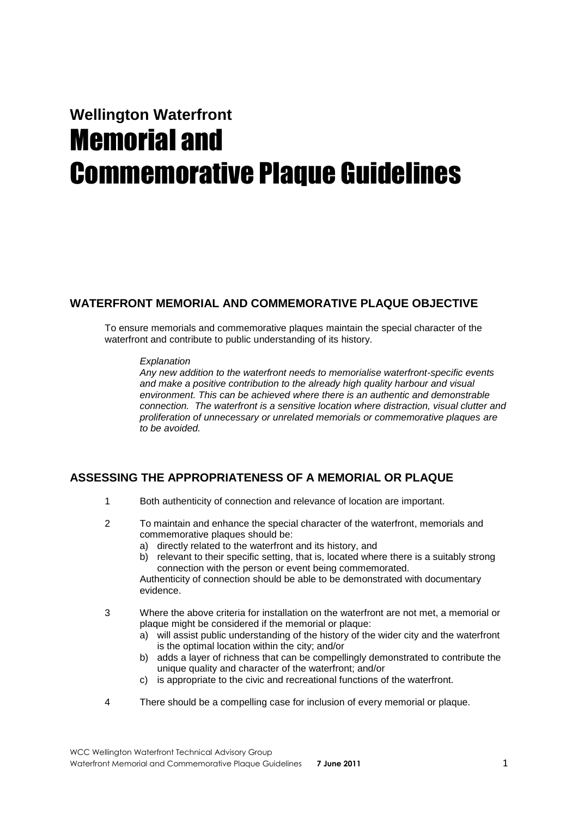# **Wellington Waterfront**  Memorial and Commemorative Plaque Guidelines

# **WATERFRONT MEMORIAL AND COMMEMORATIVE PLAQUE OBJECTIVE**

To ensure memorials and commemorative plaques maintain the special character of the waterfront and contribute to public understanding of its history.

## *Explanation*

*Any new addition to the waterfront needs to memorialise waterfront-specific events and make a positive contribution to the already high quality harbour and visual environment. This can be achieved where there is an authentic and demonstrable connection. The waterfront is a sensitive location where distraction, visual clutter and proliferation of unnecessary or unrelated memorials or commemorative plaques are to be avoided.*

# **ASSESSING THE APPROPRIATENESS OF A MEMORIAL OR PLAQUE**

- 1 Both authenticity of connection and relevance of location are important.
- 2 To maintain and enhance the special character of the waterfront, memorials and commemorative plaques should be:
	- a) directly related to the waterfront and its history, and
	- b) relevant to their specific setting, that is, located where there is a suitably strong connection with the person or event being commemorated.

Authenticity of connection should be able to be demonstrated with documentary evidence.

- 3 Where the above criteria for installation on the waterfront are not met, a memorial or plaque might be considered if the memorial or plaque:
	- a) will assist public understanding of the history of the wider city and the waterfront is the optimal location within the city; and/or
	- b) adds a layer of richness that can be compellingly demonstrated to contribute the unique quality and character of the waterfront; and/or
	- c) is appropriate to the civic and recreational functions of the waterfront.
- 4 There should be a compelling case for inclusion of every memorial or plaque.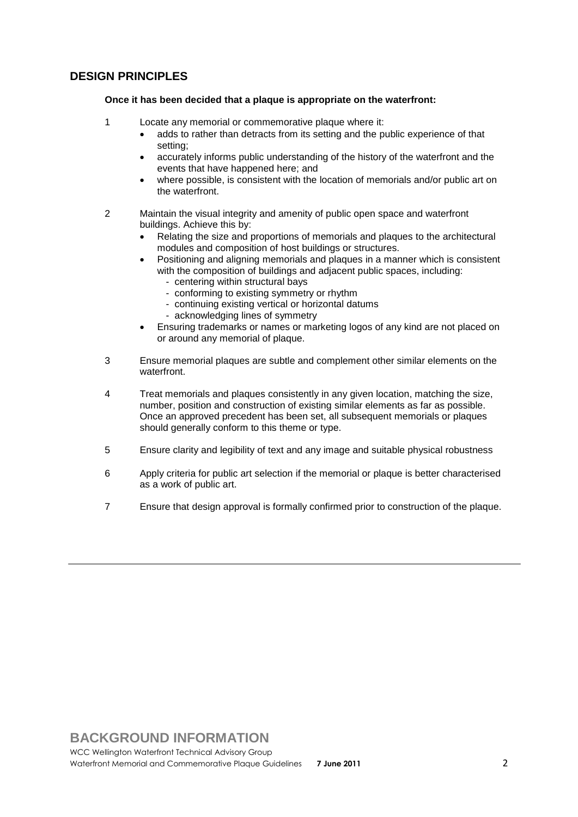# **DESIGN PRINCIPLES**

## **Once it has been decided that a plaque is appropriate on the waterfront:**

- 1 Locate any memorial or commemorative plaque where it:
	- adds to rather than detracts from its setting and the public experience of that setting;
	- accurately informs public understanding of the history of the waterfront and the events that have happened here; and
	- where possible, is consistent with the location of memorials and/or public art on the waterfront.
- 2 Maintain the visual integrity and amenity of public open space and waterfront buildings. Achieve this by:
	- Relating the size and proportions of memorials and plaques to the architectural modules and composition of host buildings or structures.
	- Positioning and aligning memorials and plaques in a manner which is consistent with the composition of buildings and adjacent public spaces, including:
		- centering within structural bays
		- conforming to existing symmetry or rhythm
		- continuing existing vertical or horizontal datums
		- acknowledging lines of symmetry
	- Ensuring trademarks or names or marketing logos of any kind are not placed on or around any memorial of plaque.
- 3 Ensure memorial plaques are subtle and complement other similar elements on the waterfront.
- 4 Treat memorials and plaques consistently in any given location, matching the size, number, position and construction of existing similar elements as far as possible. Once an approved precedent has been set, all subsequent memorials or plaques should generally conform to this theme or type.
- 5 Ensure clarity and legibility of text and any image and suitable physical robustness
- 6 Apply criteria for public art selection if the memorial or plaque is better characterised as a work of public art.
- 7 Ensure that design approval is formally confirmed prior to construction of the plaque.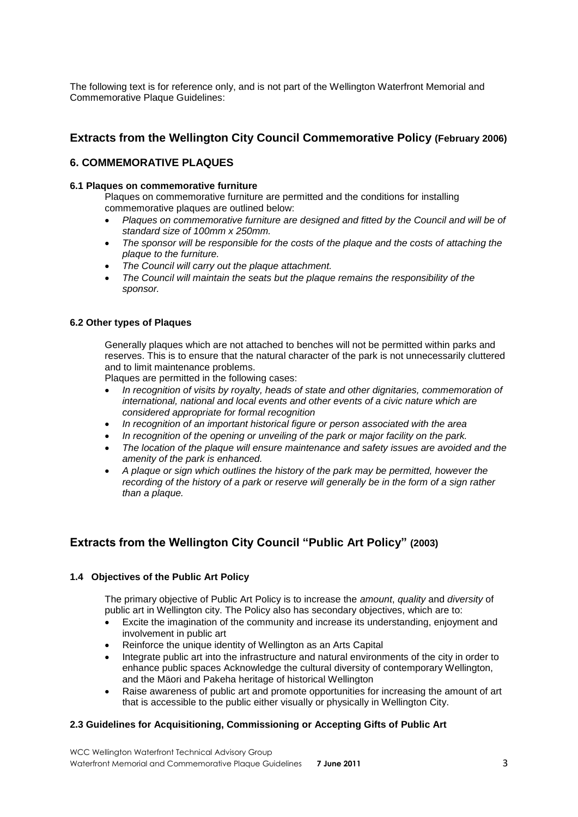The following text is for reference only, and is not part of the Wellington Waterfront Memorial and Commemorative Plaque Guidelines:

# **Extracts from the Wellington City Council Commemorative Policy (February 2006)**

## **6. COMMEMORATIVE PLAQUES**

## **6.1 Plaques on commemorative furniture**

Plaques on commemorative furniture are permitted and the conditions for installing commemorative plaques are outlined below:

- *Plaques on commemorative furniture are designed and fitted by the Council and will be of standard size of 100mm x 250mm.*
- *The sponsor will be responsible for the costs of the plaque and the costs of attaching the plaque to the furniture.*
- *The Council will carry out the plaque attachment.*
- *The Council will maintain the seats but the plaque remains the responsibility of the sponsor.*

## **6.2 Other types of Plaques**

Generally plaques which are not attached to benches will not be permitted within parks and reserves. This is to ensure that the natural character of the park is not unnecessarily cluttered and to limit maintenance problems.

Plaques are permitted in the following cases:

- In recognition of visits by royalty, heads of state and other dignitaries, commemoration of *international, national and local events and other events of a civic nature which are considered appropriate for formal recognition*
- *In recognition of an important historical figure or person associated with the area*
- *In recognition of the opening or unveiling of the park or major facility on the park.*
- *The location of the plaque will ensure maintenance and safety issues are avoided and the amenity of the park is enhanced.*
- *A plaque or sign which outlines the history of the park may be permitted, however the recording of the history of a park or reserve will generally be in the form of a sign rather than a plaque.*

# **Extracts from the Wellington City Council "Public Art Policy" (2003)**

## **1.4 Objectives of the Public Art Policy**

The primary objective of Public Art Policy is to increase the *amount*, *quality* and *diversity* of public art in Wellington city. The Policy also has secondary objectives, which are to:

- Excite the imagination of the community and increase its understanding, enjoyment and involvement in public art
- Reinforce the unique identity of Wellington as an Arts Capital
- Integrate public art into the infrastructure and natural environments of the city in order to enhance public spaces Acknowledge the cultural diversity of contemporary Wellington, and the Mäori and Pakeha heritage of historical Wellington
- Raise awareness of public art and promote opportunities for increasing the amount of art that is accessible to the public either visually or physically in Wellington City.

## **2.3 Guidelines for Acquisitioning, Commissioning or Accepting Gifts of Public Art**